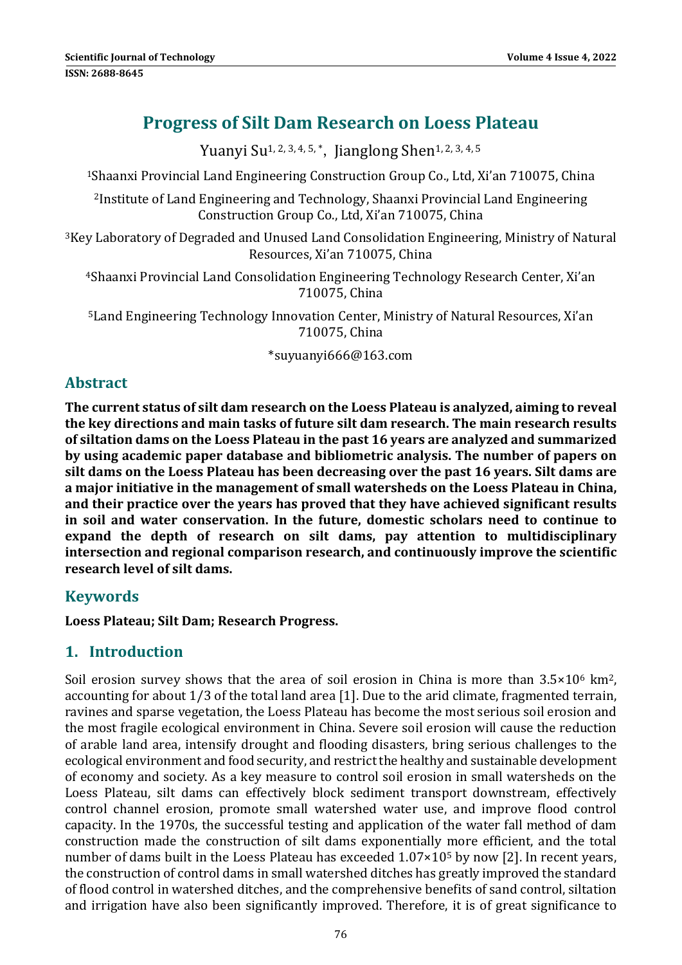# **Progress of Silt Dam Research on Loess Plateau**

Yuanyi Su<sup>1, 2, 3, 4, 5, \*</sup>, Jianglong Shen<sup>1, 2, 3, 4, 5</sup>

<sup>1</sup>Shaanxi Provincial Land Engineering Construction Group Co., Ltd, Xi'an 710075, China

<sup>2</sup>Institute of Land Engineering and Technology, Shaanxi Provincial Land Engineering Construction Group Co., Ltd, Xi'an 710075, China

<sup>3</sup>Key Laboratory of Degraded and Unused Land Consolidation Engineering, Ministry of Natural Resources, Xi'an 710075, China

<sup>4</sup>Shaanxi Provincial Land Consolidation Engineering Technology Research Center, Xi'an 710075, China 

<sup>5</sup> Land Engineering Technology Innovation Center, Ministry of Natural Resources, Xi'an 710075, China 

\*suyuanyi666@163.com 

# **Abstract**

**The current status of silt dam research on the Loess Plateau is analyzed, aiming to reveal the key directions and main tasks of future silt dam research. The main research results of siltation dams on the Loess Plateau in the past 16 years are analyzed and summarized by using academic paper database and bibliometric analysis. The number of papers on silt dams on the Loess Plateau has been decreasing over the past 16 years. Silt dams are a major initiative in the management of small watersheds on the Loess Plateau in China, and their practice over the years has proved that they have achieved significant results in soil and water conservation. In the future, domestic scholars need to continue to expand the depth of research on silt dams, pay attention to multidisciplinary intersection and regional comparison research, and continuously improve the scientific research level of silt dams.**

## **Keywords**

**Loess Plateau; Silt Dam; Research Progress.**

## **1. Introduction**

Soil erosion survey shows that the area of soil erosion in China is more than  $3.5 \times 10^6$  km<sup>2</sup>, accounting for about  $1/3$  of the total land area [1]. Due to the arid climate, fragmented terrain, ravines and sparse vegetation, the Loess Plateau has become the most serious soil erosion and the most fragile ecological environment in China. Severe soil erosion will cause the reduction of arable land area, intensify drought and flooding disasters, bring serious challenges to the ecological environment and food security, and restrict the healthy and sustainable development of economy and society. As a key measure to control soil erosion in small watersheds on the Loess Plateau, silt dams can effectively block sediment transport downstream, effectively control channel erosion, promote small watershed water use, and improve flood control capacity. In the 1970s, the successful testing and application of the water fall method of dam construction made the construction of silt dams exponentially more efficient, and the total number of dams built in the Loess Plateau has exceeded  $1.07 \times 10^5$  by now [2]. In recent years, the construction of control dams in small watershed ditches has greatly improved the standard of flood control in watershed ditches, and the comprehensive benefits of sand control, siltation and irrigation have also been significantly improved. Therefore, it is of great significance to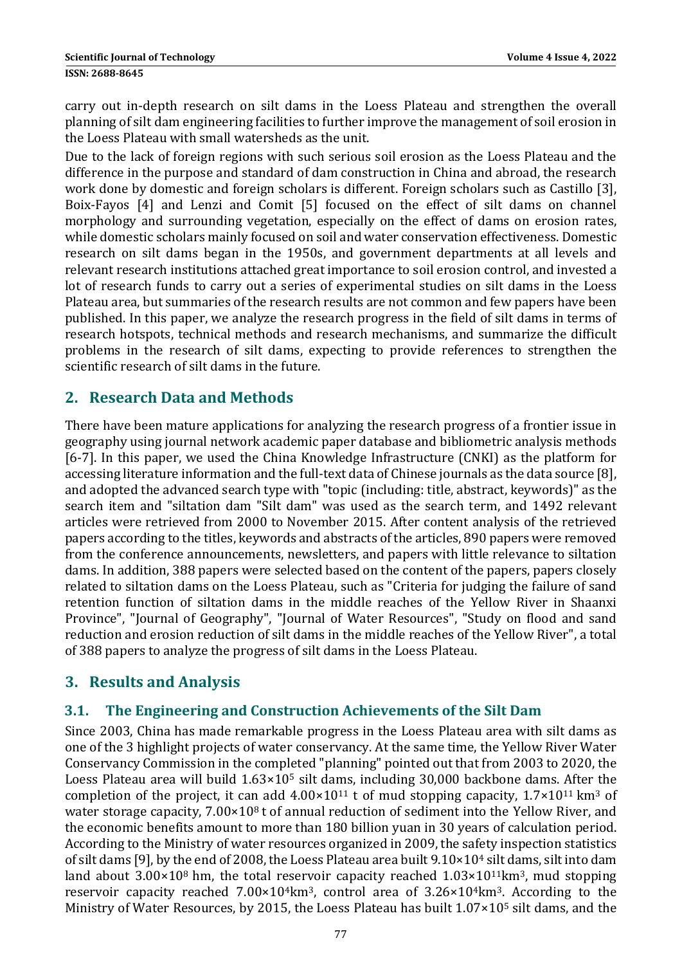carry out in-depth research on silt dams in the Loess Plateau and strengthen the overall planning of silt dam engineering facilities to further improve the management of soil erosion in the Loess Plateau with small watersheds as the unit.

Due to the lack of foreign regions with such serious soil erosion as the Loess Plateau and the difference in the purpose and standard of dam construction in China and abroad, the research work done by domestic and foreign scholars is different. Foreign scholars such as Castillo [3], Boix-Fayos [4] and Lenzi and Comit [5] focused on the effect of silt dams on channel morphology and surrounding vegetation, especially on the effect of dams on erosion rates, while domestic scholars mainly focused on soil and water conservation effectiveness. Domestic research on silt dams began in the 1950s, and government departments at all levels and relevant research institutions attached great importance to soil erosion control, and invested a lot of research funds to carry out a series of experimental studies on silt dams in the Loess Plateau area, but summaries of the research results are not common and few papers have been published. In this paper, we analyze the research progress in the field of silt dams in terms of research hotspots, technical methods and research mechanisms, and summarize the difficult problems in the research of silt dams, expecting to provide references to strengthen the scientific research of silt dams in the future.

# **2. Research Data and Methods**

There have been mature applications for analyzing the research progress of a frontier issue in geography using journal network academic paper database and bibliometric analysis methods [6-7]. In this paper, we used the China Knowledge Infrastructure (CNKI) as the platform for accessing literature information and the full-text data of Chinese journals as the data source [8], and adopted the advanced search type with "topic (including: title, abstract, keywords)" as the search item and "siltation dam "Silt dam" was used as the search term, and 1492 relevant articles were retrieved from 2000 to November 2015. After content analysis of the retrieved papers according to the titles, keywords and abstracts of the articles, 890 papers were removed from the conference announcements, newsletters, and papers with little relevance to siltation dams. In addition, 388 papers were selected based on the content of the papers, papers closely related to siltation dams on the Loess Plateau, such as "Criteria for judging the failure of sand retention function of siltation dams in the middle reaches of the Yellow River in Shaanxi Province", "Journal of Geography", "Journal of Water Resources", "Study on flood and sand reduction and erosion reduction of silt dams in the middle reaches of the Yellow River", a total of 388 papers to analyze the progress of silt dams in the Loess Plateau.

# **3. Results and Analysis**

## **3.1. The Engineering and Construction Achievements of the Silt Dam**

Since 2003, China has made remarkable progress in the Loess Plateau area with silt dams as one of the 3 highlight projects of water conservancy. At the same time, the Yellow River Water Conservancy Commission in the completed "planning" pointed out that from 2003 to 2020, the Loess Plateau area will build  $1.63\times10^5$  silt dams, including 30,000 backbone dams. After the completion of the project, it can add  $4.00\times10^{11}$  t of mud stopping capacity,  $1.7\times10^{11}$  km<sup>3</sup> of water storage capacity,  $7.00 \times 10^8$  t of annual reduction of sediment into the Yellow River, and the economic benefits amount to more than 180 billion yuan in 30 years of calculation period. According to the Ministry of water resources organized in 2009, the safety inspection statistics of silt dams [9], by the end of 2008, the Loess Plateau area built  $9.10\times10<sup>4</sup>$  silt dams, silt into dam land about  $3.00\times10^8$  hm, the total reservoir capacity reached  $1.03\times10^{11}$ km<sup>3</sup>, mud stopping reservoir capacity reached  $7.00\times10^4$ km<sup>3</sup>, control area of  $3.26\times10^4$ km<sup>3</sup>. According to the Ministry of Water Resources, by 2015, the Loess Plateau has built  $1.07 \times 10^5$  silt dams, and the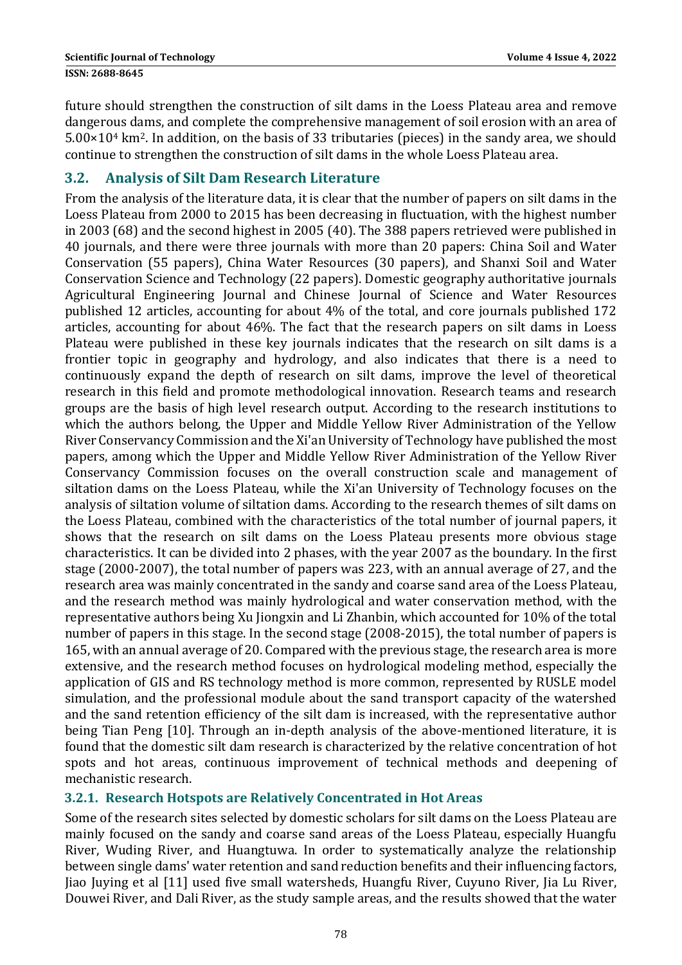future should strengthen the construction of silt dams in the Loess Plateau area and remove dangerous dams, and complete the comprehensive management of soil erosion with an area of  $5.00\times10<sup>4</sup>$  km<sup>2</sup>. In addition, on the basis of 33 tributaries (pieces) in the sandy area, we should continue to strengthen the construction of silt dams in the whole Loess Plateau area.

## **3.2. Analysis of Silt Dam Research Literature**

From the analysis of the literature data, it is clear that the number of papers on silt dams in the Loess Plateau from 2000 to 2015 has been decreasing in fluctuation, with the highest number in 2003  $(68)$  and the second highest in 2005  $(40)$ . The 388 papers retrieved were published in 40 iournals, and there were three iournals with more than 20 papers: China Soil and Water Conservation (55 papers), China Water Resources (30 papers), and Shanxi Soil and Water Conservation Science and Technology (22 papers). Domestic geography authoritative journals Agricultural Engineering Journal and Chinese Journal of Science and Water Resources published 12 articles, accounting for about 4% of the total, and core journals published 172 articles, accounting for about 46%. The fact that the research papers on silt dams in Loess Plateau were published in these key journals indicates that the research on silt dams is a frontier topic in geography and hydrology, and also indicates that there is a need to continuously expand the depth of research on silt dams, improve the level of theoretical research in this field and promote methodological innovation. Research teams and research groups are the basis of high level research output. According to the research institutions to which the authors belong, the Upper and Middle Yellow River Administration of the Yellow River Conservancy Commission and the Xi'an University of Technology have published the most papers, among which the Upper and Middle Yellow River Administration of the Yellow River Conservancy Commission focuses on the overall construction scale and management of siltation dams on the Loess Plateau, while the Xi'an University of Technology focuses on the analysis of siltation volume of siltation dams. According to the research themes of silt dams on the Loess Plateau, combined with the characteristics of the total number of journal papers, it shows that the research on silt dams on the Loess Plateau presents more obvious stage characteristics. It can be divided into 2 phases, with the year 2007 as the boundary. In the first stage  $(2000-2007)$ , the total number of papers was 223, with an annual average of 27, and the research area was mainly concentrated in the sandy and coarse sand area of the Loess Plateau, and the research method was mainly hydrological and water conservation method, with the representative authors being Xu Jiongxin and Li Zhanbin, which accounted for 10% of the total number of papers in this stage. In the second stage (2008-2015), the total number of papers is 165, with an annual average of 20. Compared with the previous stage, the research area is more extensive, and the research method focuses on hydrological modeling method, especially the application of GIS and RS technology method is more common, represented by RUSLE model simulation, and the professional module about the sand transport capacity of the watershed and the sand retention efficiency of the silt dam is increased, with the representative author being Tian Peng [10]. Through an in-depth analysis of the above-mentioned literature, it is found that the domestic silt dam research is characterized by the relative concentration of hot spots and hot areas, continuous improvement of technical methods and deepening of mechanistic research.

## **3.2.1. Research Hotspots are Relatively Concentrated in Hot Areas**

Some of the research sites selected by domestic scholars for silt dams on the Loess Plateau are mainly focused on the sandy and coarse sand areas of the Loess Plateau, especially Huangfu River, Wuding River, and Huangtuwa. In order to systematically analyze the relationship between single dams' water retention and sand reduction benefits and their influencing factors, Jiao Juying et al [11] used five small watersheds, Huangfu River, Cuyuno River, Jia Lu River, Douwei River, and Dali River, as the study sample areas, and the results showed that the water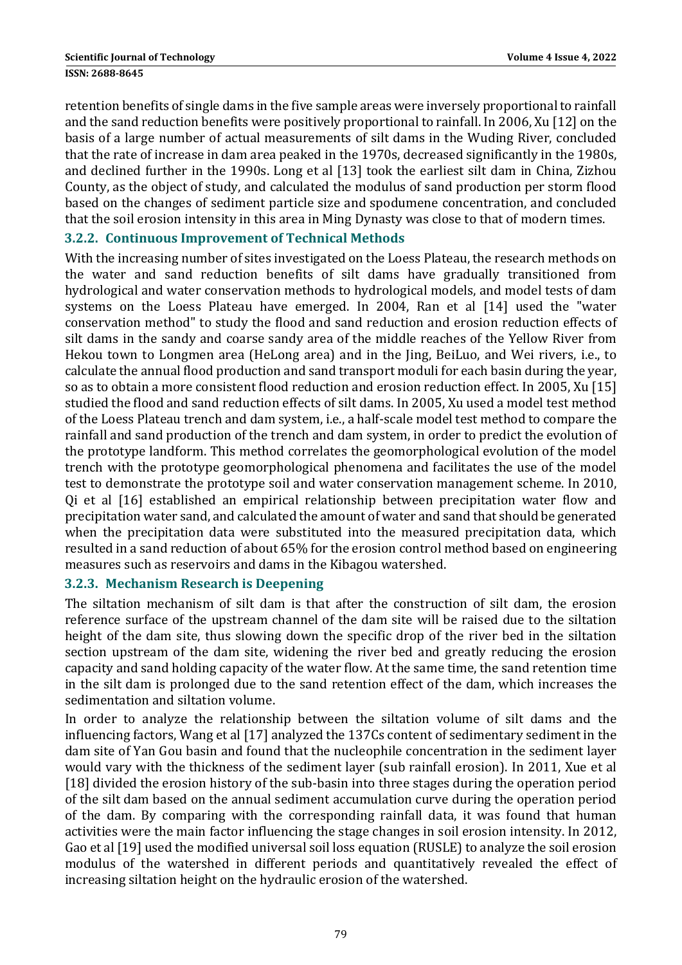retention benefits of single dams in the five sample areas were inversely proportional to rainfall and the sand reduction benefits were positively proportional to rainfall. In 2006, Xu [12] on the basis of a large number of actual measurements of silt dams in the Wuding River, concluded that the rate of increase in dam area peaked in the 1970s, decreased significantly in the 1980s, and declined further in the 1990s. Long et al [13] took the earliest silt dam in China, Zizhou County, as the object of study, and calculated the modulus of sand production per storm flood based on the changes of sediment particle size and spodumene concentration, and concluded that the soil erosion intensity in this area in Ming Dynasty was close to that of modern times.

#### **3.2.2. Continuous Improvement of Technical Methods**

With the increasing number of sites investigated on the Loess Plateau, the research methods on the water and sand reduction benefits of silt dams have gradually transitioned from hydrological and water conservation methods to hydrological models, and model tests of dam systems on the Loess Plateau have emerged. In 2004, Ran et al [14] used the "water conservation method" to study the flood and sand reduction and erosion reduction effects of silt dams in the sandy and coarse sandy area of the middle reaches of the Yellow River from Hekou town to Longmen area (HeLong area) and in the  $\lim_{h \to 0}$  BeiLuo, and Wei rivers, i.e., to calculate the annual flood production and sand transport moduli for each basin during the year, so as to obtain a more consistent flood reduction and erosion reduction effect. In 2005, Xu [15] studied the flood and sand reduction effects of silt dams. In 2005, Xu used a model test method of the Loess Plateau trench and dam system, i.e., a half-scale model test method to compare the rainfall and sand production of the trench and dam system, in order to predict the evolution of the prototype landform. This method correlates the geomorphological evolution of the model trench with the prototype geomorphological phenomena and facilitates the use of the model test to demonstrate the prototype soil and water conservation management scheme. In 2010, Qi et al [16] established an empirical relationship between precipitation water flow and precipitation water sand, and calculated the amount of water and sand that should be generated when the precipitation data were substituted into the measured precipitation data, which resulted in a sand reduction of about 65% for the erosion control method based on engineering measures such as reservoirs and dams in the Kibagou watershed.

#### **3.2.3. Mechanism Research is Deepening**

The siltation mechanism of silt dam is that after the construction of silt dam, the erosion reference surface of the upstream channel of the dam site will be raised due to the siltation height of the dam site, thus slowing down the specific drop of the river bed in the siltation section upstream of the dam site, widening the river bed and greatly reducing the erosion capacity and sand holding capacity of the water flow. At the same time, the sand retention time in the silt dam is prolonged due to the sand retention effect of the dam, which increases the sedimentation and siltation volume.

In order to analyze the relationship between the siltation volume of silt dams and the influencing factors, Wang et al [17] analyzed the 137Cs content of sedimentary sediment in the dam site of Yan Gou basin and found that the nucleophile concentration in the sediment layer would vary with the thickness of the sediment layer (sub rainfall erosion). In 2011, Xue et al [18] divided the erosion history of the sub-basin into three stages during the operation period of the silt dam based on the annual sediment accumulation curve during the operation period of the dam. By comparing with the corresponding rainfall data, it was found that human activities were the main factor influencing the stage changes in soil erosion intensity. In 2012, Gao et al [19] used the modified universal soil loss equation (RUSLE) to analyze the soil erosion modulus of the watershed in different periods and quantitatively revealed the effect of increasing siltation height on the hydraulic erosion of the watershed.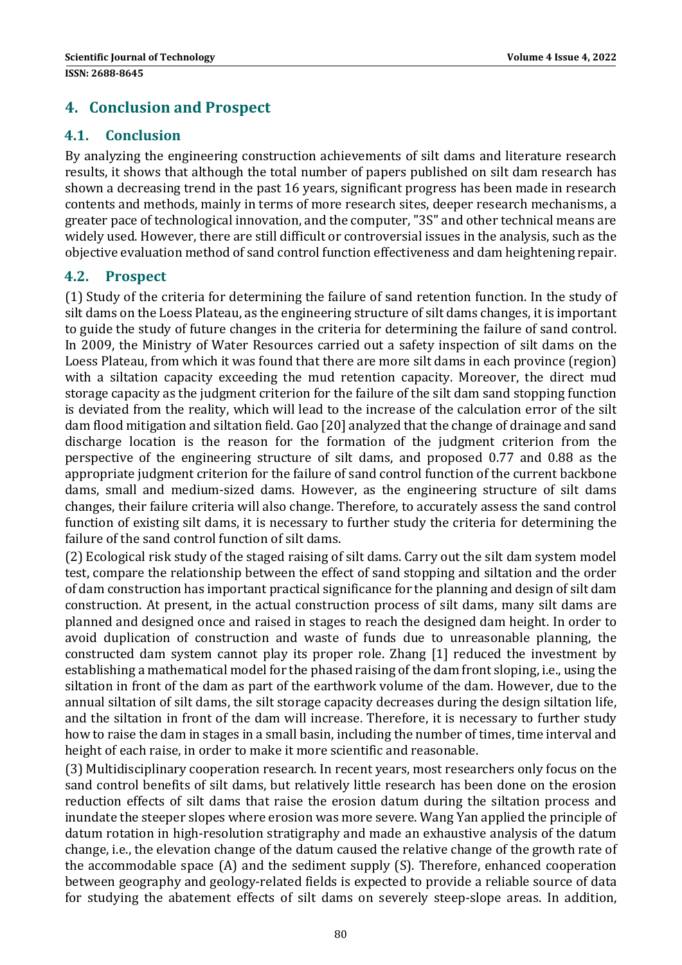# **4. Conclusion and Prospect**

#### **4.1. Conclusion**

By analyzing the engineering construction achievements of silt dams and literature research results, it shows that although the total number of papers published on silt dam research has shown a decreasing trend in the past 16 years, significant progress has been made in research contents and methods, mainly in terms of more research sites, deeper research mechanisms, a greater pace of technological innovation, and the computer, "3S" and other technical means are widely used. However, there are still difficult or controversial issues in the analysis, such as the objective evaluation method of sand control function effectiveness and dam heightening repair.

#### **4.2. Prospect**

(1) Study of the criteria for determining the failure of sand retention function. In the study of silt dams on the Loess Plateau, as the engineering structure of silt dams changes, it is important to guide the study of future changes in the criteria for determining the failure of sand control. In 2009, the Ministry of Water Resources carried out a safety inspection of silt dams on the Loess Plateau, from which it was found that there are more silt dams in each province (region) with a siltation capacity exceeding the mud retention capacity. Moreover, the direct mud storage capacity as the judgment criterion for the failure of the silt dam sand stopping function is deviated from the reality, which will lead to the increase of the calculation error of the silt dam flood mitigation and siltation field. Gao [20] analyzed that the change of drainage and sand discharge location is the reason for the formation of the judgment criterion from the perspective of the engineering structure of silt dams, and proposed 0.77 and 0.88 as the appropriate judgment criterion for the failure of sand control function of the current backbone dams, small and medium-sized dams. However, as the engineering structure of silt dams changes, their failure criteria will also change. Therefore, to accurately assess the sand control function of existing silt dams, it is necessary to further study the criteria for determining the failure of the sand control function of silt dams.

(2) Ecological risk study of the staged raising of silt dams. Carry out the silt dam system model test, compare the relationship between the effect of sand stopping and siltation and the order of dam construction has important practical significance for the planning and design of silt dam construction. At present, in the actual construction process of silt dams, many silt dams are planned and designed once and raised in stages to reach the designed dam height. In order to avoid duplication of construction and waste of funds due to unreasonable planning, the constructed dam system cannot play its proper role. Zhang [1] reduced the investment by establishing a mathematical model for the phased raising of the dam front sloping, i.e., using the siltation in front of the dam as part of the earthwork volume of the dam. However, due to the annual siltation of silt dams, the silt storage capacity decreases during the design siltation life, and the siltation in front of the dam will increase. Therefore, it is necessary to further study how to raise the dam in stages in a small basin, including the number of times, time interval and height of each raise, in order to make it more scientific and reasonable.

(3) Multidisciplinary cooperation research. In recent years, most researchers only focus on the sand control benefits of silt dams, but relatively little research has been done on the erosion reduction effects of silt dams that raise the erosion datum during the siltation process and inundate the steeper slopes where erosion was more severe. Wang Yan applied the principle of datum rotation in high-resolution stratigraphy and made an exhaustive analysis of the datum change, i.e., the elevation change of the datum caused the relative change of the growth rate of the accommodable space  $(A)$  and the sediment supply  $(S)$ . Therefore, enhanced cooperation between geography and geology-related fields is expected to provide a reliable source of data for studying the abatement effects of silt dams on severely steep-slope areas. In addition,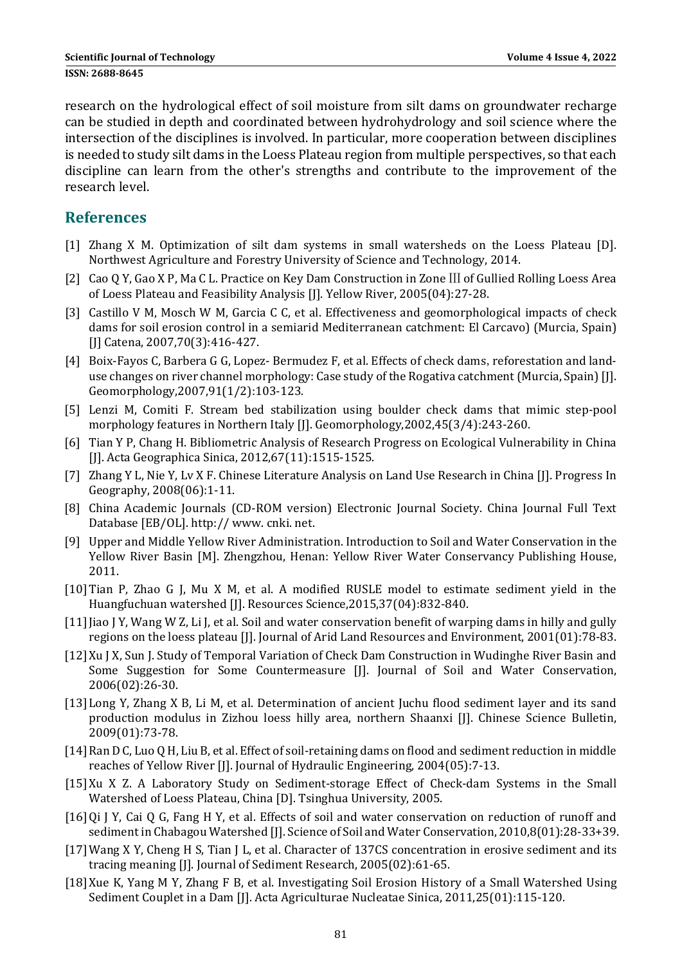research on the hydrological effect of soil moisture from silt dams on groundwater recharge can be studied in depth and coordinated between hydrohydrology and soil science where the intersection of the disciplines is involved. In particular, more cooperation between disciplines is needed to study silt dams in the Loess Plateau region from multiple perspectives, so that each discipline can learn from the other's strengths and contribute to the improvement of the research level. 

#### **References**

- [1] Zhang X M. Optimization of silt dam systems in small watersheds on the Loess Plateau [D]. Northwest Agriculture and Forestry University of Science and Technology, 2014.
- [2] Cao Q Y, Gao X P, Ma C L. Practice on Key Dam Construction in Zone III of Gullied Rolling Loess Area of Loess Plateau and Feasibility Analysis [J]. Yellow River, 2005(04):27-28.
- [3] Castillo V M, Mosch W M, Garcia C C, et al. Effectiveness and geomorphological impacts of check dams for soil erosion control in a semiarid Mediterranean catchment: El Carcavo) (Murcia, Spain) [J] Catena, 2007,70(3):416-427.
- [4] Boix-Fayos C, Barbera G G, Lopez- Bermudez F, et al. Effects of check dams, reforestation and landuse changes on river channel morphology: Case study of the Rogativa catchment (Murcia, Spain) [J]. Geomorphology,2007,91(1/2):103‐123.
- [5] Lenzi M, Comiti F. Stream bed stabilization using boulder check dams that mimic step-pool morphology features in Northern Italy [J]. Geomorphology,2002,45(3/4):243-260.
- [6] Tian Y P, Chang H. Bibliometric Analysis of Research Progress on Ecological Vulnerability in China [J]. Acta Geographica Sinica, 2012,67(11):1515-1525.
- [7] Zhang Y L, Nie Y, Ly X F. Chinese Literature Analysis on Land Use Research in China [J]. Progress In Geography, 2008(06):1-11.
- [8] China Academic Journals (CD-ROM version) Electronic Journal Society. China Journal Full Text Database [EB/OL]. http:// www. cnki. net.
- [9] Upper and Middle Yellow River Administration. Introduction to Soil and Water Conservation in the Yellow River Basin [M]. Zhengzhou, Henan: Yellow River Water Conservancy Publishing House, 2011.
- [10] Tian P, Zhao G J, Mu X M, et al. A modified RUSLE model to estimate sediment yield in the Huangfuchuan watershed [J]. Resources Science,2015,37(04):832-840.
- [11] Jiao J Y, Wang W Z, Li J, et al. Soil and water conservation benefit of warping dams in hilly and gully regions on the loess plateau [J]. Journal of Arid Land Resources and Environment, 2001(01):78-83.
- [12] Xu J X, Sun J. Study of Temporal Variation of Check Dam Construction in Wudinghe River Basin and Some Suggestion for Some Countermeasure [J]. Journal of Soil and Water Conservation, 2006(02):26‐30.
- [13] Long Y, Zhang X B, Li M, et al. Determination of ancient Juchu flood sediment layer and its sand production modulus in Zizhou loess hilly area, northern Shaanxi [J]. Chinese Science Bulletin, 2009(01):73‐78.
- [14] Ran D C, Luo Q H, Liu B, et al. Effect of soil-retaining dams on flood and sediment reduction in middle reaches of Yellow River [J]. Journal of Hydraulic Engineering, 2004(05):7-13.
- [15]Xu X Z. A Laboratory Study on Sediment-storage Effect of Check-dam Systems in the Small Watershed of Loess Plateau, China [D]. Tsinghua University, 2005.
- [16]Qi J Y, Cai Q G, Fang H Y, et al. Effects of soil and water conservation on reduction of runoff and sediment in Chabagou Watershed [J]. Science of Soil and Water Conservation, 2010,8(01):28-33+39.
- [17] Wang X Y, Cheng H S, Tian *J L, et al. Character of 137CS concentration* in erosive sediment and its tracing meaning [J]. Journal of Sediment Research, 2005(02):61-65.
- [18] Xue K, Yang M Y, Zhang F B, et al. Investigating Soil Erosion History of a Small Watershed Using Sediment Couplet in a Dam [J]. Acta Agriculturae Nucleatae Sinica, 2011,25(01):115-120.